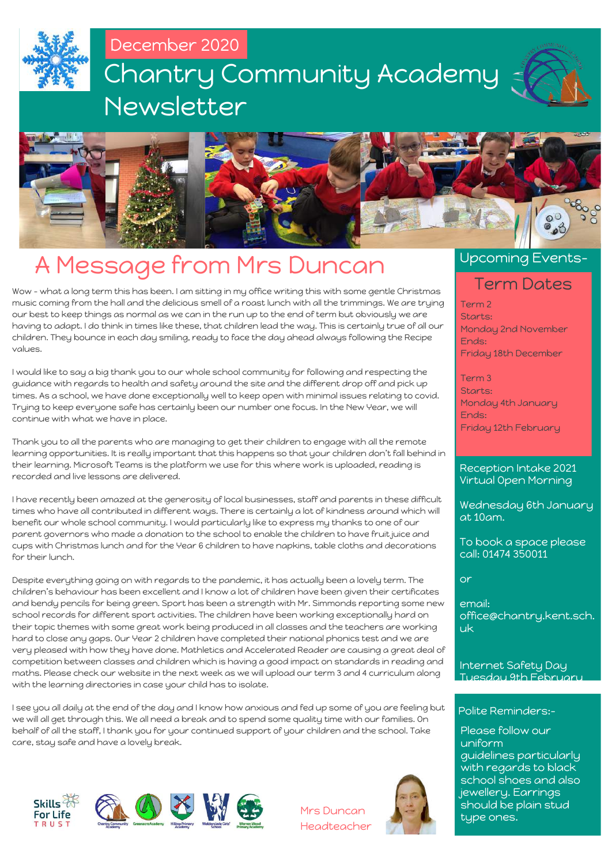



## A Message from Mrs Duncan

Wow – what a long term this has been. I am sitting in my office writing this with some gentle Christmas music coming from the hall and the delicious smell of a roast lunch with all the trimmings. We are trying our best to keep things as normal as we can in the run up to the end of term but obviously we are having to adapt. I do think in times like these, that children lead the way. This is certainly true of all our children. They bounce in each day smiling, ready to face the day ahead always following the Recipe values.

I would like to say a big thank you to our whole school community for following and respecting the guidance with regards to health and safety around the site and the different drop off and pick up times. As a school, we have done exceptionally well to keep open with minimal issues relating to covid. Trying to keep everyone safe has certainly been our number one focus. In the New Year, we will continue with what we have in place.

Thank you to all the parents who are managing to get their children to engage with all the remote learning opportunities. It is really important that this happens so that your children don't fall behind in their learning. Microsoft Teams is the platform we use for this where work is uploaded, reading is recorded and live lessons are delivered.

I have recently been amazed at the generosity of local businesses, staff and parents in these difficult times who have all contributed in different ways. There is certainly a lot of kindness around which will benefit our whole school community. I would particularly like to express my thanks to one of our parent governors who made a donation to the school to enable the children to have fruit juice and cups with Christmas lunch and for the Year 6 children to have napkins, table cloths and decorations for their lunch.

Despite everything going on with regards to the pandemic, it has actually been a lovely term. The children's behaviour has been excellent and I know a lot of children have been given their certificates and bendy pencils for being green. Sport has been a strength with Mr. Simmonds reporting some new school records for different sport activities. The children have been working exceptionally hard on their topic themes with some great work being produced in all classes and the teachers are working hard to close any gaps. Our Year 2 children have completed their national phonics test and we are very pleased with how they have done. Mathletics and Accelerated Reader are causing a great deal of competition between classes and children which is having a good impact on standards in reading and maths. Please check our website in the next week as we will upload our term 3 and 4 curriculum along with the learning directories in case your child has to isolate.

I see you all daily at the end of the day and I know how anxious and fed up some of you are feeling but we will all get through this. We all need a break and to spend some quality time with our families. On behalf of all the staff, I thank you for your continued support of your children and the school. Take care, stay safe and have a lovely break.





Mrs Duncan Headteacher



### Upcoming Events-

### Term Dates

Term 2 Starts: Monday 2nd November Ends: Friday 18th December

Term 3 Starts: Monday 4th January Ends: Friday 12th February

Reception Intake 2021 Virtual Open Morning

Wednesday 6th January at 10am.

To book a space please call: 01474 350011

or

email: office@chantry.kent.sch. uk

Internet Safety Day Tuesday 9th February

### Polite Reminders:-

Please follow our uniform guidelines particularly with regards to black school shoes and also jewellery. Earrings should be plain stud type ones.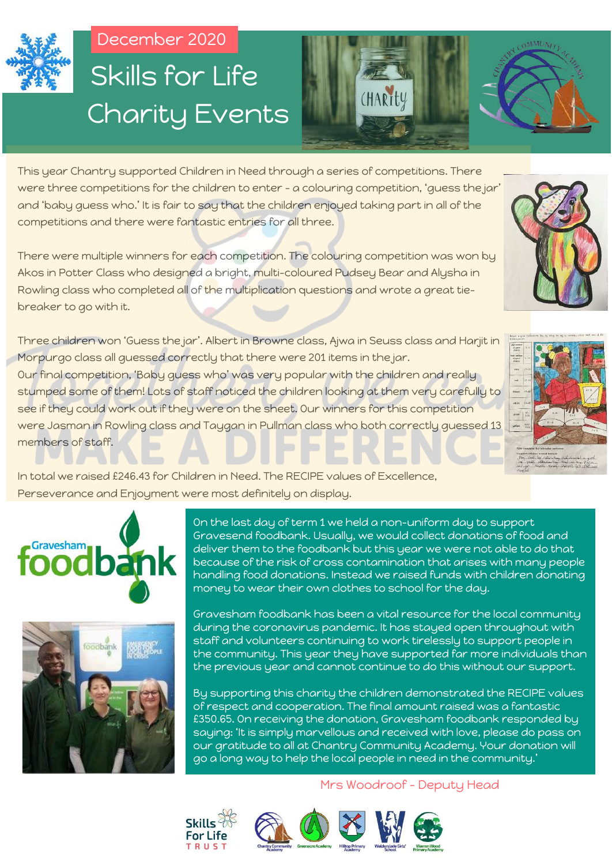

# December 2020 Charity Events Skills for Life



This year Chantry supported Children in Need through a series of competitions. There were three competitions for the children to enter – a colouring competition, 'guess the jar' and 'baby guess who.' It is fair to say that the children enjoyed taking part in all of the competitions and there were fantastic entries for all three.

There were multiple winners for each competition. The colouring competition was won by Akos in Potter Class who designed a bright, multi-coloured Pudsey Bear and Alysha in Rowling class who completed all of the multiplication questions and wrote a great tiebreaker to go with it.

Three children won 'Guess the jar'. Albert in Browne class, Ajwa in Seuss class and Harjit in Morpurgo class all guessed correctly that there were 201 items in the jar. Our final competition, 'Baby guess who' was very popular with the children and really stumped some of them! Lots of staff noticed the children looking at them very carefully to see if they could work out if they were on the sheet. Our winners for this competition were Jasman in Rowling class and Taygan in Pullman class who both correctly guessed 13 members of staff.

In total we raised £246.43 for Children in Need. The RECIPE values of Excellence, Perseverance and Enjoyment were most definitely on display.





On the last day of term 1 we held a non-uniform day to support Gravesend foodbank. Usually, we would collect donations of food and deliver them to the foodbank but this year we were not able to do that because of the risk of cross contamination that arises with many people handling food donations. Instead we raised funds with children donating money to wear their own clothes to school for the day.

Gravesham foodbank has been a vital resource for the local community during the coronavirus pandemic. It has stayed open throughout with staff and volunteers continuing to work tirelessly to support people in the community. This year they have supported far more individuals than the previous year and cannot continue to do this without our support.

By supporting this charity the children demonstrated the RECIPE values of respect and cooperation. The final amount raised was a fantastic £350.65. On receiving the donation, Gravesham foodbank responded by saying: 'It is simply marvellous and received with love, please do pass on our gratitude to all at Chantry Community Academy. Your donation will go a long way to help the local people in need in the community.'



### Mrs Woodroof - Deputy Head

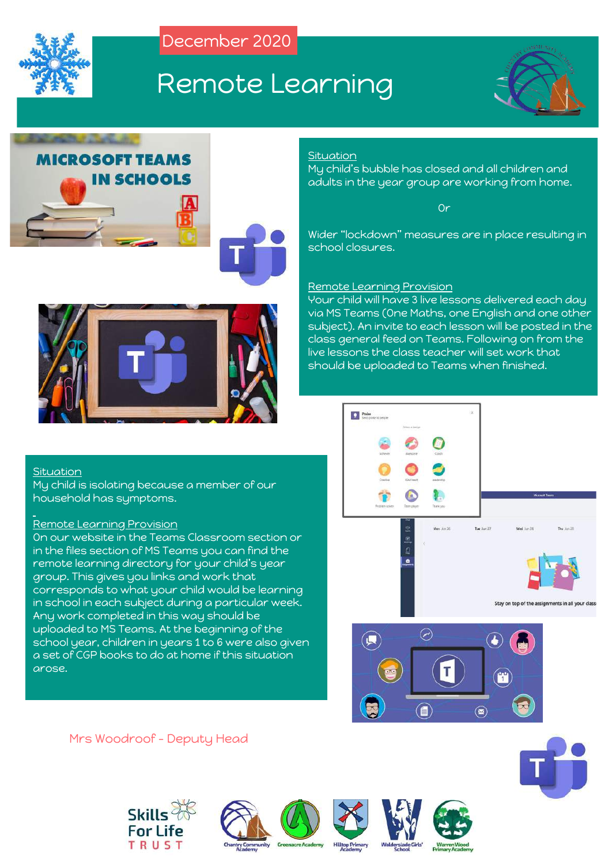

## Remote Learning









### **Situation**

My child's bubble has closed and all children and adults in the year group are working from home.

**Or** Service Contract of the Contract of Service

Wider "lockdown" measures are in place resulting in school closures.

### Remote Learning Provision

Your child will have 3 live lessons delivered each day via MS Teams (One Maths, one English and one other subject). An invite to each lesson will be posted in the class general feed on Teams. Following on from the live lessons the class teacher will set work that should be uploaded to Teams when finished.

#### Situation

My child is isolating because a member of our household has symptoms.

### Remote Learning Provision

On our website in the Teams Classroom section or in the files section of MS Teams you can find the remote learning directory for your child's year group. This gives you links and work that corresponds to what your child would be learning in school in each subject during a particular week. Any work completed in this way should be uploaded to MS Teams. At the beginning of the school year, children in years 1 to 6 were also given a set of CGP books to do at home if this situation arose.



 $\circledcirc$ 

### Mrs Woodroof - Deputy Head











(■)

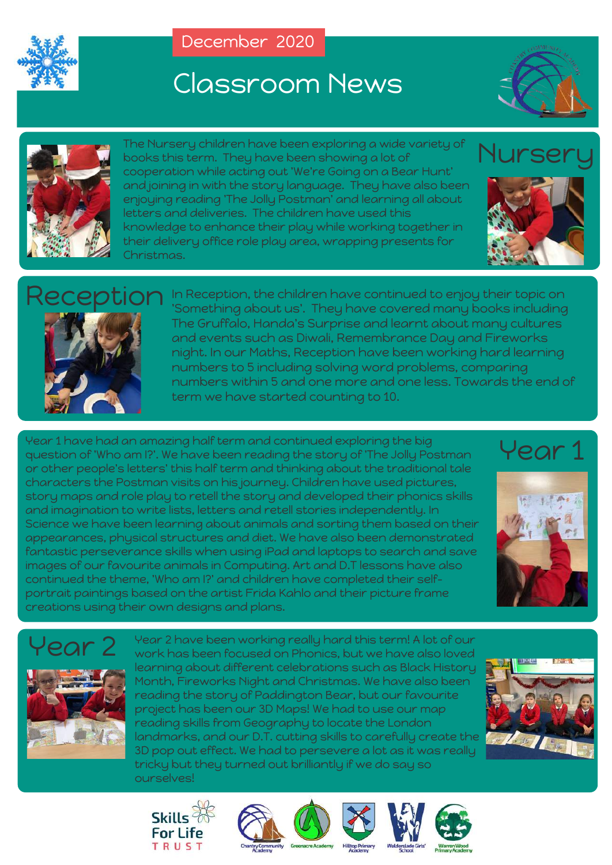

# Classroom News





The Nursery children have been exploring a wide variety of books this term. They have been showing a lot of cooperation while acting out 'We're Going on a Bear Hunt' and joining in with the story language. They have also been enjoying reading 'The Jolly Postman' and learning all about letters and deliveries. The children have used this knowledge to enhance their play while working together in their delivery office role play area, wrapping presents for Christmas.

## Nurser





In Reception, the children have continued to enjoy their topic on 'Something about us'. They have covered many books including The Gruffalo, Handa's Surprise and learnt about many cultures and events such as Diwali, Remembrance Day and Fireworks night. In our Maths, Reception have been working hard learning numbers to 5 including solving word problems, comparing numbers within 5 and one more and one less. Towards the end of term we have started counting to 10.

Year 1 have had an amazing half term and continued exploring the big question of 'Who am I?'. We have been reading the story of 'The Jolly Postman or other people's letters' this half term and thinking about the traditional tale characters the Postman visits on his journey. Children have used pictures, story maps and role play to retell the story and developed their phonics skills and imagination to write lists, letters and retell stories independently. In Science we have been learning about animals and sorting them based on their appearances, physical structures and diet. We have also been demonstrated fantastic perseverance skills when using iPad and laptops to search and save images of our favourite animals in Computing. Art and D.T lessons have also continued the theme, 'Who am I?' and children have completed their selfportrait paintings based on the artist Frida Kahlo and their picture frame creations using their own designs and plans.





## Year 2



Year 2 have been working really hard this term! A lot of our work has been focused on Phonics, but we have also loved learning about different celebrations such as Black History Month, Fireworks Night and Christmas. We have also been reading the story of Paddington Bear, but our favourite project has been our 3D Maps! We had to use our map reading skills from Geography to locate the London landmarks, and our D.T. cutting skills to carefully create the 3D pop out effect. We had to persevere a lot as it was really tricky but they turned out brilliantly if we do say so ourselves!











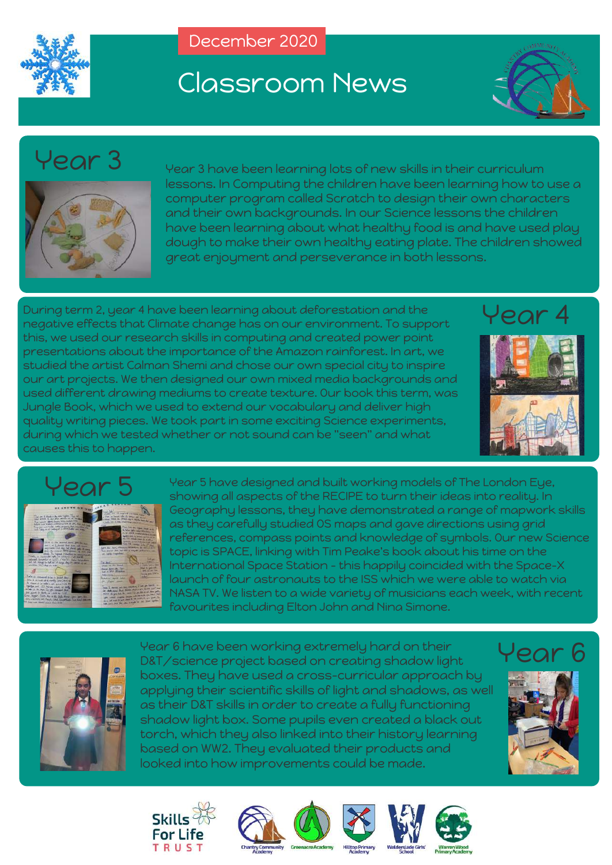

# Classroom News



## Year 3



Year 3 have been learning lots of new skills in their curriculum lessons. In Computing the children have been learning how to use a computer program called Scratch to design their own characters and their own backgrounds. In our Science lessons the children have been learning about what healthy food is and have used play dough to make their own healthy eating plate. The children showed great enjoyment and perseverance in both lessons.

During term 2, year 4 have been learning about deforestation and the negative effects that Climate change has on our environment. To support this, we used our research skills in computing and created power point presentations about the importance of the Amazon rainforest. In art, we studied the artist Calman Shemi and chose our own special city to inspire our art projects. We then designed our own mixed media backgrounds and used different drawing mediums to create texture. Our book this term, was Jungle Book, which we used to extend our vocabulary and deliver high quality writing pieces. We took part in some exciting Science experiments, during which we tested whether or not sound can be "seen" and what causes this to happen.

# Year 4





Year 5 have designed and built working models of The London Eye, showing all aspects of the RECIPE to turn their ideas into reality. In Geography lessons, they have demonstrated a range of mapwork skills as they carefully studied OS maps and gave directions using grid references, compass points and knowledge of symbols. Our new Science topic is SPACE, linking with Tim Peake's book about his time on the International Space Station - this happily coincided with the Space-X launch of four astronauts to the ISS which we were able to watch via NASA TV. We listen to a wide variety of musicians each week, with recent favourites including Elton John and Nina Simone.



Year 6 have been working extremely hard on their D&T/science project based on creating shadow light boxes. They have used a cross-curricular approach by applying their scientific skills of light and shadows, as well as their D&T skills in order to create a fully functioning shadow light box. Some pupils even created a black out torch, which they also linked into their history learning based on WW2. They evaluated their products and looked into how improvements could be made.

## Year 6











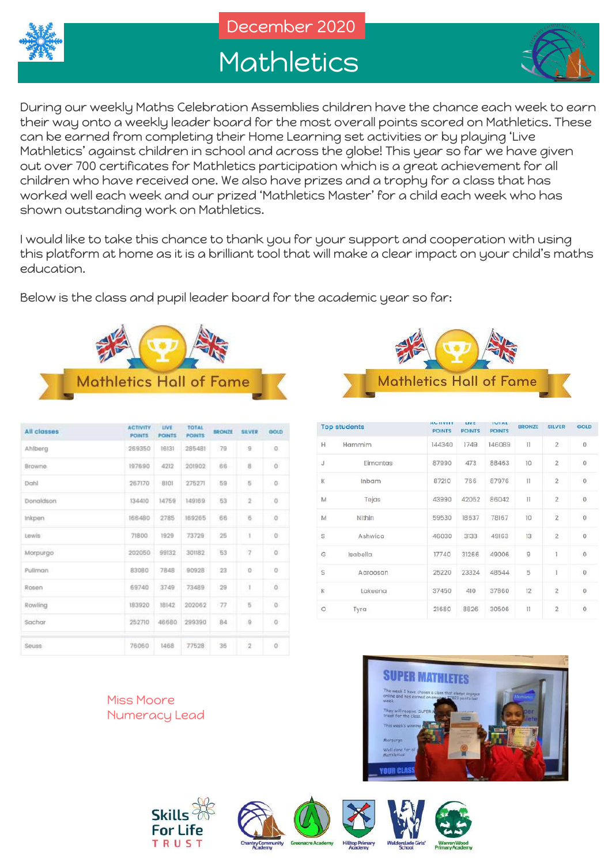

## **Mathletics**



During our weekly Maths Celebration Assemblies children have the chance each week to earn their way onto a weekly leader board for the most overall points scored on Mathletics. These can be earned from completing their Home Learning set activities or by playing 'Live Mathletics' against children in school and across the globe! This year so far we have given out over 700 certificates for Mathletics participation which is a great achievement for all children who have received one. We also have prizes and a trophy for a class that has worked well each week and our prized 'Mathletics Master' for a child each week who has shown outstanding work on Mathletics.

I would like to take this chance to thank you for your support and cooperation with using this platform at home as it is a brilliant tool that will make a clear impact on your child's maths education.

Below is the class and pupil leader board for the academic year so far:



| <b>All classes</b> | <b>ACTIVITY</b><br><b>POINTS</b> | LIVE<br><b>POINTS</b> | <b>TOTAL</b><br><b>POINTS</b> | <b>UNITED STATE</b><br><b>BRONZE</b> | SILVER                  | GOLD           |
|--------------------|----------------------------------|-----------------------|-------------------------------|--------------------------------------|-------------------------|----------------|
| Ahlberg            | 269350                           | 16131                 | 285481                        | .79                                  | 8                       | 1.0            |
| Browne.            | 197690                           | 4212                  | 201902                        | 66                                   | $\overline{\mathbf{g}}$ | $\circ$        |
| Dahl               | 267170                           | $-8101$               | 275271                        | 59                                   | 6                       | 0              |
| Donaldson          | 134410                           | 14759                 | 149169                        | 53                                   | $2 -$                   | $\circ$        |
| Inkpen.            | 166480                           | 2785                  | 169265                        | 66                                   | $\overline{6}$          | $\circ$        |
| Lewis              | 71800                            | 1929                  | 73729                         | 25                                   | 1                       | $\cup$ 0       |
| Morpurgo           | 202050                           | 99132                 | 301182                        | 53                                   | $\overline{\tau}$       | $\circ$        |
| Pullman            | 83080                            | 7848                  | 90928                         | -23                                  | $\Omega$                | $\overline{0}$ |
| Rosen              | 69740                            | 3749                  | 73489                         | $^{29}$                              | $\bar{1}$               | $\circ$        |
| Rowling            | 183920                           | 18142                 | 202062                        | $-77$                                | Б                       | $\alpha$       |
| Sachar             | 252710                           | 46680                 | 299390                        | 84                                   | $\overline{u}$          | $\circ$        |
| Seuss              | 76060                            | 1468                  | 77528                         | 36                                   | $\overline{\mathbf{2}}$ | $\circ$        |

**Mathletics Hall of Fame** 

|                | <b>Top students</b> | <b>MULLEY 11 1</b><br><b>POINTS</b> | uve<br><b>POINTS</b> | IUIAL<br><b>POINTS</b> | <b>BRONZE</b>   | <b>SILVER</b>           | GOLD                |
|----------------|---------------------|-------------------------------------|----------------------|------------------------|-----------------|-------------------------|---------------------|
| H              | Hammim              | 144340                              | 1749                 | 146089                 | $\mathbb{H}$    | $\overline{2}$          | $\theta$            |
| J              | Eimantas            | 87990                               | 473                  | 88463                  | 10              | $\overline{2}$          | $\circ$             |
| K              | Inbam               | 87210                               | 766                  | 87976                  | $_{\text{II}}$  | $\overline{2}$          | $\circ$             |
| M              | Tejas               | 43990                               | 42052                | 86042                  | Ŧ               | $\overline{\mathbf{c}}$ | $\theta$            |
| $\overline{M}$ | Nithin              | 59530                               | 18637                | 78167                  | 10              | $\overline{2}$          | $\circ$             |
| s              | Ashwica             | 46030                               | 3133                 | 49163                  | 13              | $\overline{2}$          | $\bf{0}$            |
| G              | Isabella            | 17740                               | 31266                | 49006                  | $\mathsf{Q}$    | 1                       | $\theta$            |
| S              | Aaroosan            | 25220                               | 23324                | 48544                  | 5               | ï                       | $\ddot{\mathbf{0}}$ |
| K              | Lakeena             | 37450                               | 410                  | 37860                  | 12              | $\overline{2}$          | $\mathbf 0$         |
| $\circ$        | Tyra                | 21680                               | 8826                 | 30506                  | $\overline{11}$ | $\overline{2}$          | $\circ$             |

Miss Moore Numeracy Lead











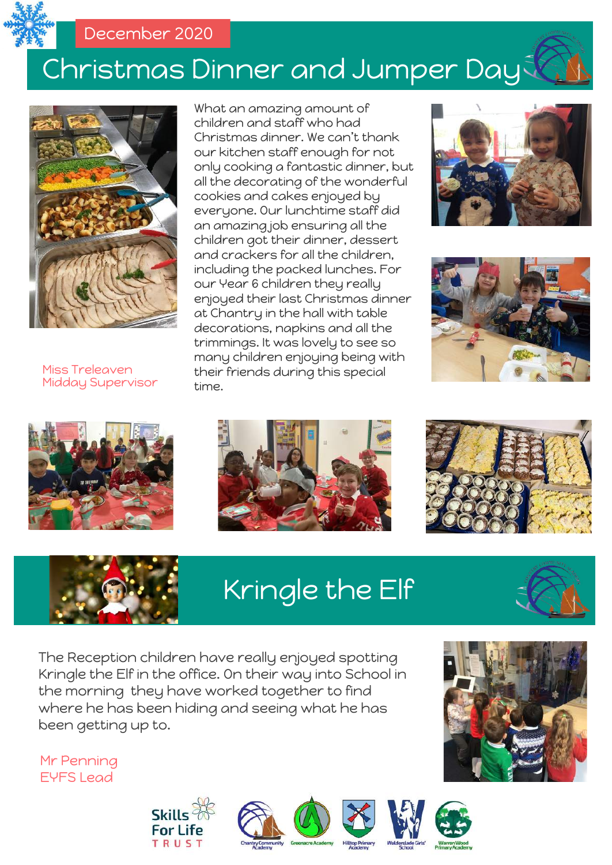

# Christmas Dinner and Jumper Day



Miss Treleaven Midday Supervisor















# Kringle the Elf



The Reception children have really enjoyed spotting Kringle the Elf in the office. On their way into School in the morning they have worked together to find where he has been hiding and seeing what he has been getting up to.

Mr Penning EYFS Lead











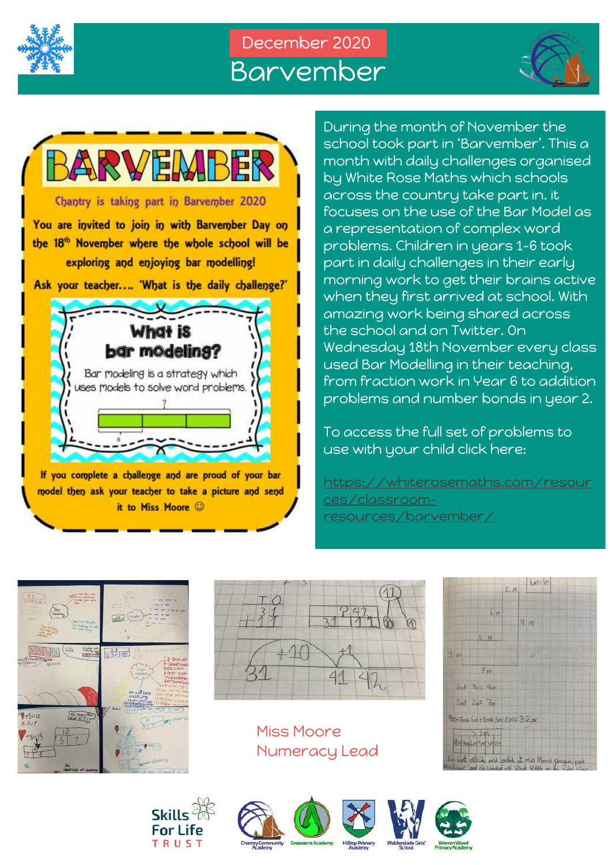

## December 2020 Barvember





paramorning work to get their brains active<br>In the when they first arrived at school. With During the month of November the school took part in 'Barvember'. This a month with daily challenges organised by White Rose Maths which schools across the country take part in. it focuses on the use of the Bar Model as a representation of complex word problems. Children in years 1-6 took part in daily challenges in their early morning work to get their brains active amazing work being shared across the school and on Twitter. On Wednesday 18th November every class used Bar Modelling in their teaching, from fraction work in Year 6 to addition problems and number bonds in year 2.

> To access the full set of problems to use with your child click here:

https://whiterosemaths.com/resour ces/classroomresources/barvember/





Miss Moore Numeracy Lead











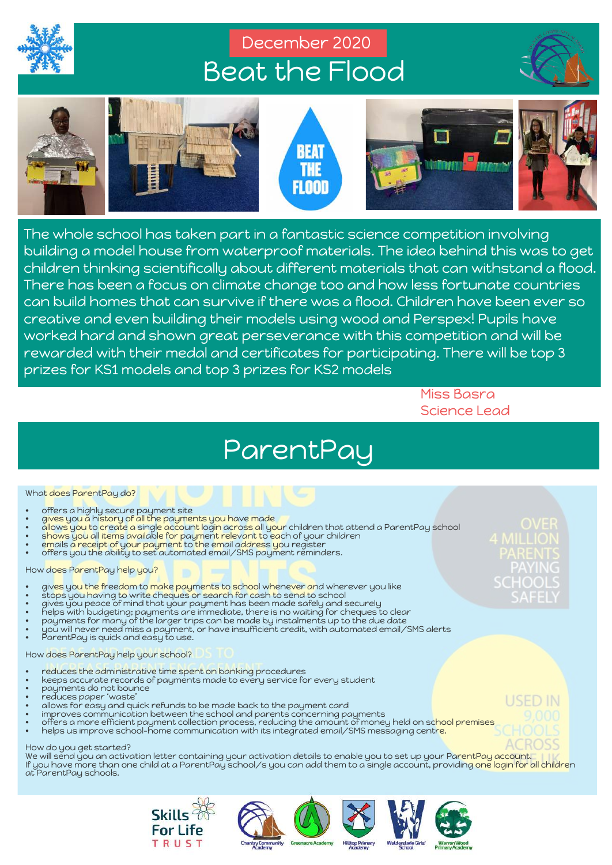

## December 2020 Beat the Flood





rewarded with their medal and certificates for participating. There will be top 3<br>prizes for KS1 models and top 3 prizes for KS2 models The whole school has taken part in a fantastic science competition involving building a model house from waterproof materials. The idea behind this was to get children thinking scientifically about different materials that can withstand a flood. There has been a focus on climate change too and how less fortunate countries can build homes that can survive if there was a flood. Children have been ever so creative and even building their models using wood and Perspex! Pupils have worked hard and shown great perseverance with this competition and will be prizes for KS1 models and top 3 prizes for KS2 models

> Miss Basra Science Lead

## ParentPay

#### What does ParentPay do?

- 
- gives you a history of all the payments you have made
- offers a highly secure payment site<br>• gives you a history of all the payme<br>• allows you to create a single accour • a<mark>llows you to create a single account login across all your</mark> children that attend a ParentPay school
- shows you all items available for payment relevant to each of your children
- emails a receipt of your payment to the email address you register • offers you the ability to set automated email/SMS payment reminders.
- 

#### How does ParentPay help you?

- gives you the freedom to make payments to school whenever and wherever you like
- stops you having to write cheques or search for cash to send to school
- gives you peace of mind that your payment has been made safely and securely
- helps with budgeting; payments are immediate, there is no waiting for cheques to clear
- payments for many of the larger trips can be made by instalments up to the due date
- $\bullet$   $\;\;$  you will never need miss a payment, or have insufficient credit, with automated email/SMS alerts
- ParentPay is quick and easy to use.

#### How does ParentPay help your school?

- reduces the administrative time spent on banking procedures
- keeps accurate records of payments made to every service for every student
- payments do not bounce • reduces paper 'waste'
- allows for easy and quick refunds to be made back to the payment card
- improves communication between the school and parents concerning payments
- offers a more efficient payment collection process, reducing the amount of money held on sc<mark>hool premises</mark>
- helps us improve school-home communication with its integrated email/SMS messaging centr<mark>e.</mark>

#### How do you get started?

We will send you an activation letter containing your activation details to enable you to set up your ParentPay account. If you have more than one child at a ParentPay school/s you can add them to a single account, providing one login for all children at ParentPay schools.









USED IN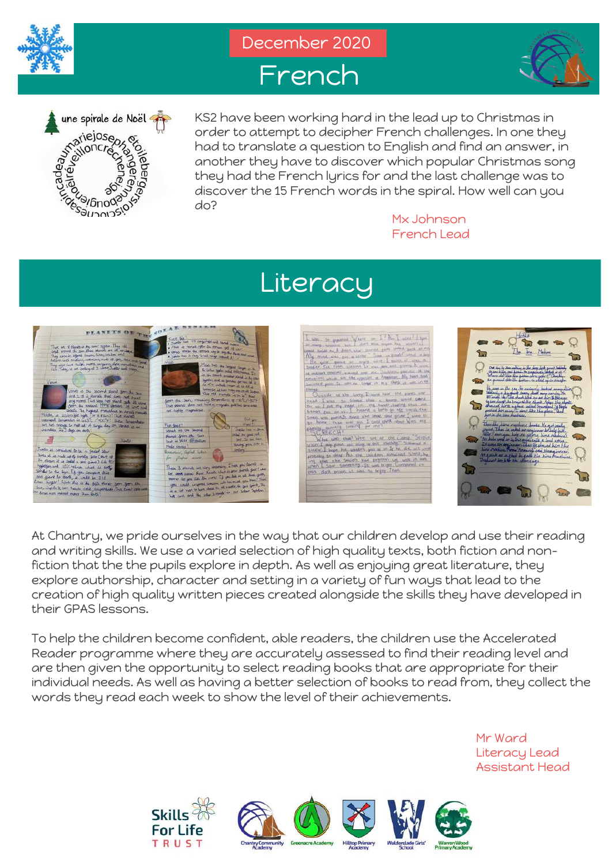







KS2 have been working hard in the lead up to Christmas in order to attempt to decipher French challenges. In one they had to translate a question to English and find an answer, in another they have to discover which popular Christmas song they had the French lyrics for and the last challenge was to discover the 15 French words in the spiral. How well can you do?

Mx Johnson French Lead

## Literacy



At Chantry, we pride ourselves in the way that our children develop and use their reading<br>At Chantry, we pride ourselves in the way that our children develop and use their reading and writing skills. We use a varied selection of high quality texts, both fiction and nonfiction that the the pupils explore in depth. As well as enjoying great literature, they explore authorship, character and setting in a variety of fun ways that lead to the creation of high quality written pieces created alongside the skills they have developed in their GPAS lessons.

To help the children become confident, able readers, the children use the Accelerated Reader programme where they are accurately assessed to find their reading level and are then given the opportunity to select reading books that are appropriate for their individual needs. As well as having a better selection of books to read from, they collect the words they read each week to show the level of their achievements.

> Mr Ward Literacy Lead Assistant Head





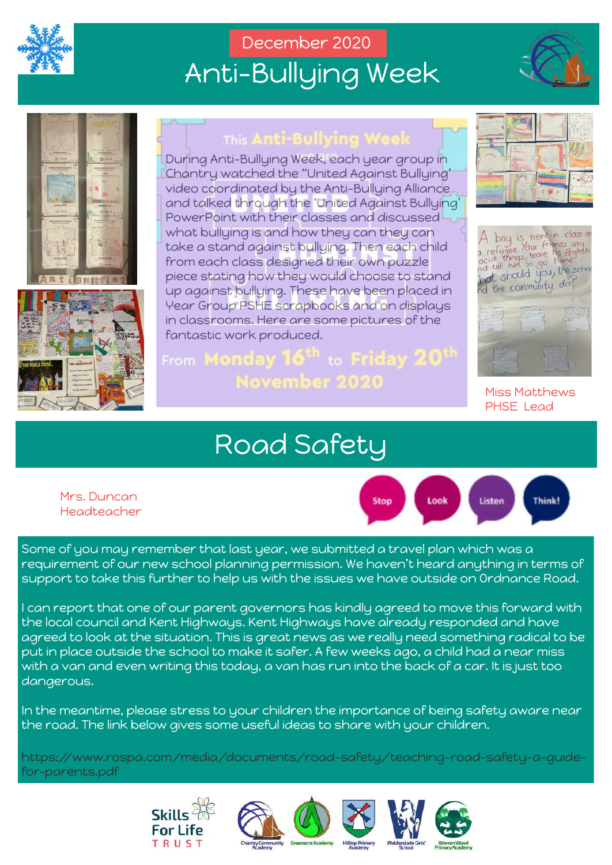

## December 2020 Anti-Bullying Week





![](_page_10_Picture_4.jpeg)

### This Anti-Bullving Week

During Anti-Bullying Week, each year group in Chantry watched the "United Against Bullying' video coordinated by the Anti-Bullying Alliance and talked through the 'United Against Bullying' PowerPoint with their classes and discussed what bullying is and how they can they can take a stand against bullying. Then each child from each class designed their own puzzle piece stating how they would choose to stand up against bullying. These have been placed in Year Group PSHE scrapbooks and on displays in classrooms. Here are some pictures of the fantastic work produced.

## From M**onday 16<sup>th</sup> to Friday 20<sup>th</sup>** November 2020

![](_page_10_Picture_8.jpeg)

![](_page_10_Picture_9.jpeg)

Miss Matthews PHSE Lead

## Road Safety

Headteacher<br>. Mrs. Duncan

![](_page_10_Figure_13.jpeg)

Some of you may remember that last year, we submitted a travel plan which was a requirement of our new school planning permission. We haven't heard anything in terms of support to take this further to help us with the issues we have outside on Ordnance Road.

I can report that one of our parent governors has kindly agreed to move this forward with the local council and Kent Highways. Kent Highways have already responded and have agreed to look at the situation. This is great news as we really need something radical to be put in place outside the school to make it safer. A few weeks ago, a child had a near miss with a van and even writing this today, a van has run into the back of a car. It is just too dangerous.

In the meantime, please stress to your children the importance of being safety aware near the road. The link below gives some useful ideas to share with your children.

https://www.rospa.com/media/documents/road-safety/teaching-road-safety-a-guidefor-parents.pdf

![](_page_10_Picture_18.jpeg)

![](_page_10_Picture_19.jpeg)

![](_page_10_Picture_20.jpeg)

![](_page_10_Picture_21.jpeg)

![](_page_10_Picture_22.jpeg)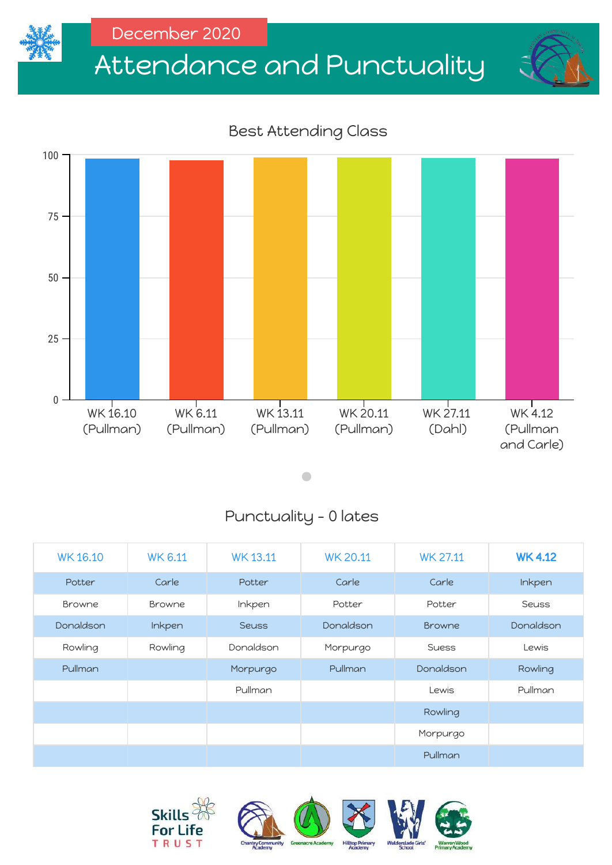![](_page_11_Picture_0.jpeg)

# Attendance and Punctuality

### Best Attending Class

![](_page_11_Figure_4.jpeg)

 $\bullet$ 

### Punctuality - 0 lates

| <b>WK16.10</b> | <b>WK 6.11</b> | <b>WK13.11</b> | <b>WK 20.11</b> | <b>WK 27.11</b> | <b>WK4.12</b> |
|----------------|----------------|----------------|-----------------|-----------------|---------------|
| Potter         | Carle          | Potter         | Carle           | Carle           | Inkpen        |
| <b>Browne</b>  | Browne         | Inkpen         | Potter          | Potter          | <b>Seuss</b>  |
| Donaldson      | Inkpen         | <b>Seuss</b>   | Donaldson       | <b>Browne</b>   | Donaldson     |
| Rowling        | Rowling        | Donaldson      | Morpurgo        | <b>Suess</b>    | Lewis         |
| Pullman        |                | Morpurgo       | Pullman         | Donaldson       | Rowling       |
|                |                | Pullman        |                 | Lewis           | Pullman       |
|                |                |                |                 | Rowling         |               |
|                |                |                |                 | Morpurgo        |               |
|                |                |                |                 | Pullman         |               |

![](_page_11_Picture_8.jpeg)

![](_page_11_Picture_9.jpeg)

![](_page_11_Picture_10.jpeg)

![](_page_11_Picture_11.jpeg)